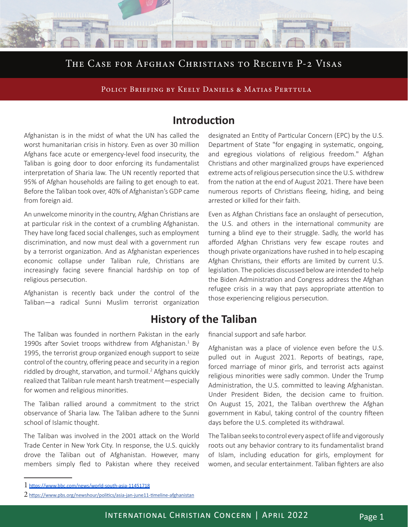## The Case for Afghan Christians to Receive P-2 Visas

POLICY BRIEFING BY KEELY DANIELS & MATIAS PERTTULA

### **Introduction**

Afghanistan is in the midst of what the UN has called the worst humanitarian crisis in history. Even as over 30 million Afghans face acute or emergency-level food insecurity, the Taliban is going door to door enforcing its fundamentalist interpretation of Sharia law. The UN recently reported that 95% of Afghan households are failing to get enough to eat. Before the Taliban took over, 40% of Afghanistan's GDP came from foreign aid.

An unwelcome minority in the country, Afghan Christians are at particular risk in the context of a crumbling Afghanistan. They have long faced social challenges, such as employment discrimination, and now must deal with a government run by a terrorist organization. And as Afghanistan experiences economic collapse under Taliban rule, Christians are increasingly facing severe financial hardship on top of religious persecution.

Afghanistan is recently back under the control of the Taliban—a radical Sunni Muslim terrorist organization

**History of the Taliban**

The Taliban was founded in northern Pakistan in the early 1990s after Soviet troops withdrew from Afghanistan.<sup>1</sup> By 1995, the terrorist group organized enough support to seize control of the country, offering peace and security in a region riddled by drought, starvation, and turmoil.<sup>2</sup> Afghans quickly realized that Taliban rule meant harsh treatment—especially for women and religious minorities.

The Taliban rallied around a commitment to the strict observance of Sharia law. The Taliban adhere to the Sunni school of Islamic thought.

The Taliban was involved in the 2001 attack on the World Trade Center in New York City. In response, the U.S. quickly drove the Taliban out of Afghanistan. However, many members simply fled to Pakistan where they received

designated an Entity of Particular Concern (EPC) by the U.S. Department of State "for engaging in systematic, ongoing, and egregious violations of religious freedom." Afghan Christians and other marginalized groups have experienced extreme acts of religious persecution since the U.S. withdrew from the nation at the end of August 2021. There have been numerous reports of Christians fleeing, hiding, and being arrested or killed for their faith.

Even as Afghan Christians face an onslaught of persecution, the U.S. and others in the international community are turning a blind eye to their struggle. Sadly, the world has afforded Afghan Christians very few escape routes and though private organizations have rushed in to help escaping Afghan Christians, their efforts are limited by current U.S. legislation. The policies discussed below are intended to help the Biden Administration and Congress address the Afghan refugee crisis in a way that pays appropriate attention to those experiencing religious persecution.

financial support and safe harbor.

Afghanistan was a place of violence even before the U.S. pulled out in August 2021. Reports of beatings, rape, forced marriage of minor girls, and terrorist acts against religious minorities were sadly common. Under the Trump Administration, the U.S. committed to leaving Afghanistan. Under President Biden, the decision came to fruition. On August 15, 2021, the Taliban overthrew the Afghan government in Kabul, taking control of the country fifteen days before the U.S. completed its withdrawal.

The Taliban seeks to control every aspect of life and vigorously roots out any behavior contrary to its fundamentalist brand of Islam, including education for girls, employment for women, and secular entertainment. Taliban fighters are also

<sup>1</sup> <https://www.bbc.com/news/world-south-asia-11451718>

<sup>2</sup> <https://www.pbs.org/newshour/politics/asia-jan-june11-timeline-afghanistan>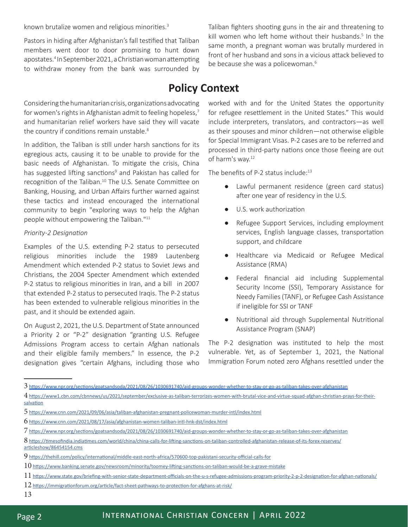known brutalize women and religious minorities.<sup>3</sup>

Pastors in hiding after Afghanistan's fall testified that Taliban members went door to door promising to hunt down apostates.4 In September 2021, a Christian woman attempting to withdraw money from the bank was surrounded by

Considering the humanitarian crisis, organizations advocating for women's rights in Afghanistan admit to feeling hopeless,<sup>7</sup> and humanitarian relief workers have said they will vacate the country if conditions remain unstable.<sup>8</sup>

In addition, the Taliban is still under harsh sanctions for its egregious acts, causing it to be unable to provide for the basic needs of Afghanistan. To mitigate the crisis, China has suggested lifting sanctions<sup>9</sup> and Pakistan has called for recognition of the Taliban.<sup>10</sup> The U.S. Senate Committee on Banking, Housing, and Urban Affairs further warned against these tactics and instead encouraged the international community to begin "exploring ways to help the Afghan people without empowering the Taliban."11

#### *Priority-2 Designation*

Examples of the U.S. extending P-2 status to persecuted religious minorities include the 1989 Lautenberg Amendment which extended P-2 status to Soviet Jews and Christians, the 2004 Specter Amendment which extended P-2 status to religious minorities in Iran, and a bill in 2007 that extended P-2 status to persecuted Iraqis. The P-2 status has been extended to vulnerable religious minorities in the past, and it should be extended again.

On August 2, 2021, the U.S. Department of State announced a Priority 2 or "P-2" designation "granting U.S. Refugee Admissions Program access to certain Afghan nationals and their eligible family members." In essence, the P-2 designation gives "certain Afghans, including those who

Taliban fighters shooting guns in the air and threatening to kill women who left home without their husbands.<sup>5</sup> In the same month, a pregnant woman was brutally murdered in front of her husband and sons in a vicious attack believed to be because she was a policewoman.<sup>6</sup>

# **Policy Context**

worked with and for the United States the opportunity for refugee resettlement in the United States." This would include interpreters, translators, and contractors—as well as their spouses and minor children—not otherwise eligible for Special Immigrant Visas. P-2 cases are to be referred and processed in third-party nations once those fleeing are out of harm's way.<sup>12</sup>

The benefits of P-2 status include:<sup>13</sup>

- Lawful permanent residence (green card status) after one year of residency in the U.S.
- U.S. work authorization
- Refugee Support Services, including employment services, English language classes, transportation support, and childcare
- Healthcare via Medicaid or Refugee Medical Assistance (RMA)
- Federal financial aid including Supplemental Security Income (SSI), Temporary Assistance for Needy Families (TANF), or Refugee Cash Assistance if ineligible for SSI or TANF
- Nutritional aid through Supplemental Nutritional Assistance Program (SNAP)

The P-2 designation was instituted to help the most vulnerable. Yet, as of September 1, 2021, the National Immigration Forum noted zero Afghans resettled under the

13

 $3$  <https://www.npr.org/sections/goatsandsoda/2021/08/26/1030691740/aid-groups-wonder-whether-to-stay-or-go-as-taliban-takes-over-afghanistan>

<sup>4</sup> [https://www1.cbn.com/cbnnews/us/2021/september/exclusive-as-taliban-terrorizes-women-with-brutal-vice-and-virtue-squad-afghan-christian-prays-for-their](https://www1.cbn.com/cbnnews/us/2021/september/exclusive-as-taliban-terrorizes-women-with-brutal-vice-and-virtue-squad-afghan-christian-prays-for-their-salvation)[salvation](https://www1.cbn.com/cbnnews/us/2021/september/exclusive-as-taliban-terrorizes-women-with-brutal-vice-and-virtue-squad-afghan-christian-prays-for-their-salvation)

<sup>5</sup> <https://www.cnn.com/2021/09/06/asia/taliban-afghanistan-pregnant-policewoman-murder-intl/index.html>

<sup>6</sup> <https://www.cnn.com/2021/08/17/asia/afghanistan-women-taliban-intl-hnk-dst/index.html>

<sup>7</sup> <https://www.npr.org/sections/goatsandsoda/2021/08/26/1030691740/aid-groups-wonder-whether-to-stay-or-go-as-taliban-takes-over-afghanistan>

<sup>8</sup> [https://timesofindia.indiatimes.com/world/china/china-calls-for-lifting-sanctions-on-taliban-controlled-afghanistan-release-of-its-forex-reserves/](https://timesofindia.indiatimes.com/world/china/china-calls-for-lifting-sanctions-on-taliban-controlled-afghanistan-release-of-its-forex-reserves/articleshow/86454154.cms)

[articleshow/86454154.cms](https://timesofindia.indiatimes.com/world/china/china-calls-for-lifting-sanctions-on-taliban-controlled-afghanistan-release-of-its-forex-reserves/articleshow/86454154.cms)

<sup>9</sup> <https://thehill.com/policy/international/middle-east-north-africa/570600-top-pakistani-security-official-calls-for>

 $10$  <https://www.banking.senate.gov/newsroom/minority/toomey-lifting-sanctions-on-taliban-would-be-a-grave-mistake>

<sup>11</sup> <https://www.state.gov/briefing-with-senior-state-department-officials-on-the-u-s-refugee-admissions-program-priority-2-p-2-designation-for-afghan-nationals/>

 $12$  <https://immigrationforum.org/article/fact-sheet-pathways-to-protection-for-afghans-at-risk/>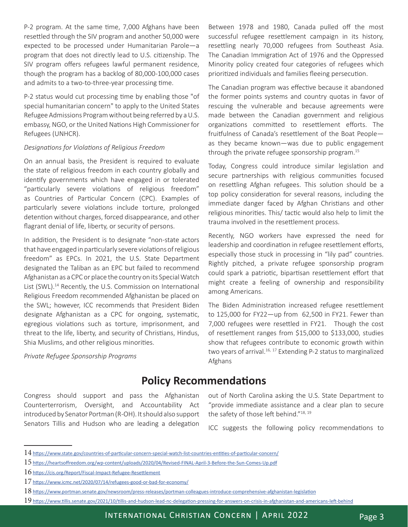P-2 program. At the same time, 7,000 Afghans have been resettled through the SIV program and another 50,000 were expected to be processed under Humanitarian Parole—a program that does not directly lead to U.S. citizenship. The SIV program offers refugees lawful permanent residence, though the program has a backlog of 80,000-100,000 cases and admits to a two-to-three-year processing time.

P-2 status would cut processing time by enabling those "of special humanitarian concern" to apply to the United States Refugee Admissions Program without being referred by a U.S. embassy, NGO, or the United Nations High Commissioner for Refugees (UNHCR).

#### *Designations for Violations of Religious Freedom*

On an annual basis, the President is required to evaluate the state of religious freedom in each country globally and identify governments which have engaged in or tolerated "particularly severe violations of religious freedom" as Countries of Particular Concern (CPC). Examples of particularly severe violations include torture, prolonged detention without charges, forced disappearance, and other flagrant denial of life, liberty, or security of persons.

In addition, the President is to designate "non-state actors that have engaged in particularly severe violations of religious freedom" as EPCs. In 2021, the U.S. State Department designated the Taliban as an EPC but failed to recommend Afghanistan as a CPC or place the country on its Special Watch List (SWL).<sup>14</sup> Recently, the U.S. Commission on International Religious Freedom recommended Afghanistan be placed on the SWL; however, ICC recommends that President Biden designate Afghanistan as a CPC for ongoing, systematic, egregious violations such as torture, imprisonment, and threat to the life, liberty, and security of Christians, Hindus, Shia Muslims, and other religious minorities.

*Private Refugee Sponsorship Programs*

Between 1978 and 1980, Canada pulled off the most successful refugee resettlement campaign in its history, resettling nearly 70,000 refugees from Southeast Asia. The Canadian Immigration Act of 1976 and the Oppressed Minority policy created four categories of refugees which prioritized individuals and families fleeing persecution.

The Canadian program was effective because it abandoned the former points systems and country quotas in favor of rescuing the vulnerable and because agreements were made between the Canadian government and religious organizations committed to resettlement efforts. The fruitfulness of Canada's resettlement of the Boat People as they became known—was due to public engagement through the private refugee sponsorship program.<sup>15</sup>

Today, Congress could introduce similar legislation and secure partnerships with religious communities focused on resettling Afghan refugees. This solution should be a top policy consideration for several reasons, including the immediate danger faced by Afghan Christians and other religious minorities. This/ tactic would also help to limit the trauma involved in the resettlement process.

Recently, NGO workers have expressed the need for leadership and coordination in refugee resettlement efforts, especially those stuck in processing in "lily pad" countries. Rightly pitched, a private refugee sponsorship program could spark a patriotic, bipartisan resettlement effort that might create a feeling of ownership and responsibility among Americans.

The Biden Administration increased refugee resettlement to 125,000 for FY22—up from 62,500 in FY21. Fewer than 7,000 refugees were resettled in FY21. Though the cost of resettlement ranges from \$15,000 to \$133,000, studies show that refugees contribute to economic growth within two years of arrival.<sup>16, 17</sup> Extending P-2 status to marginalized Afghans

## **Policy Recommendations**

Congress should support and pass the Afghanistan Counterterrorism, Oversight, and Accountability Act introduced by Senator Portman (R-OH). It should also support Senators Tillis and Hudson who are leading a delegation

out of North Carolina asking the U.S. State Department to "provide immediate assistance and a clear plan to secure the safety of those left behind."<sup>18, 19</sup>

ICC suggests the following policy recommendations to

 $14$  <https://www.state.gov/countries-of-particular-concern-special-watch-list-countries-entities-of-particular-concern/>

<sup>15</sup> <https://heartsoffreedom.org/wp-content/uploads/2020/04/Revised-FINAL-April-3-Before-the-Sun-Comes-Up.pdf>

<sup>16</sup> <https://cis.org/Report/Fiscal-Impact-Refugee-Resettlement>

<sup>17</sup> <https://www.icmc.net/2020/07/14/refugees-good-or-bad-for-economy/>

 $18$  <https://www.portman.senate.gov/newsroom/press-releases/portman-colleagues-introduce-comprehensive-afghanistan-legislation>

<sup>19</sup> <https://www.tillis.senate.gov/2021/10/tillis-and-hudson-lead-nc-delegation-pressing-for-answers-on-crisis-in-afghanistan-and-americans-left-behind>